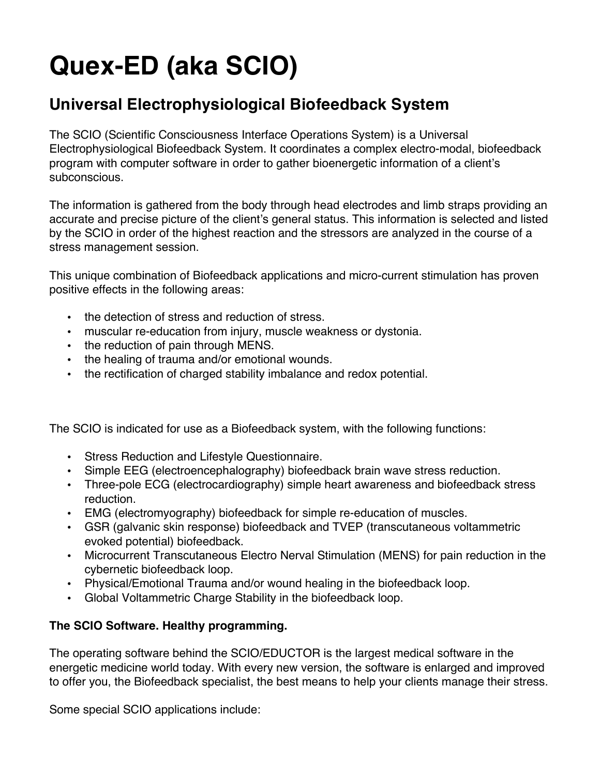## **Quex-ED (aka SCIO)**

## **Universal Electrophysiological Biofeedback System**

The SCIO (Scientific Consciousness Interface Operations System) is a Universal Electrophysiological Biofeedback System. It coordinates a complex electro-modal, biofeedback program with computer software in order to gather bioenergetic information of a client's subconscious.

The information is gathered from the body through head electrodes and limb straps providing an accurate and precise picture of the client's general status. This information is selected and listed by the SCIO in order of the highest reaction and the stressors are analyzed in the course of a stress management session.

This unique combination of Biofeedback applications and micro-current stimulation has proven positive effects in the following areas:

- the detection of stress and reduction of stress.
- muscular re-education from injury, muscle weakness or dystonia.
- the reduction of pain through MENS.
- the healing of trauma and/or emotional wounds.
- the rectification of charged stability imbalance and redox potential.

The SCIO is indicated for use as a Biofeedback system, with the following functions:

- Stress Reduction and Lifestyle Questionnaire.
- Simple EEG (electroencephalography) biofeedback brain wave stress reduction.
- Three-pole ECG (electrocardiography) simple heart awareness and biofeedback stress reduction.
- EMG (electromyography) biofeedback for simple re-education of muscles.
- GSR (galvanic skin response) biofeedback and TVEP (transcutaneous voltammetric evoked potential) biofeedback.
- Microcurrent Transcutaneous Electro Nerval Stimulation (MENS) for pain reduction in the cybernetic biofeedback loop.
- Physical/Emotional Trauma and/or wound healing in the biofeedback loop.
- Global Voltammetric Charge Stability in the biofeedback loop.

## **The SCIO Software. Healthy programming.**

The operating software behind the SCIO/EDUCTOR is the largest medical software in the energetic medicine world today. With every new version, the software is enlarged and improved to offer you, the Biofeedback specialist, the best means to help your clients manage their stress.

Some special SCIO applications include: